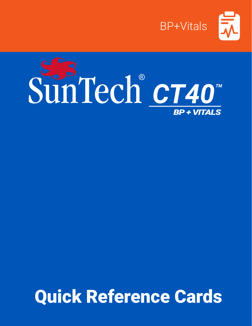

# SunTech CT40 **BP + VITALS**

# Quick Reference Cards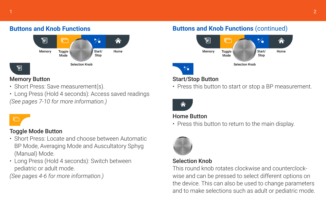# $1$  and the contract of the contract of the contract of the contract of the contract of the contract of the contract of the contract of the contract of the contract of the contract of the contract of the contract of the c



# Memory Button

- Short Press: Save measurement(s).
- Long Press (Hold 4 seconds): Access saved readings *(See pages 7-10 for more information.)*

g

# Toggle Mode Button

- Short Press: Locate and choose between Automatic BP Mode, Averaging Mode and Auscultatory Sphyg (Manual) Mode.
- Long Press (Hold 4 seconds): Switch between pediatric or adult mode.

*(See pages 4-6 for more information.)*

# **Buttons and Knob Functions Buttons and Knob Functions** (continued)



# Start/Stop Button

• Press this button to start or stop a BP measurement.



### Home Button

• Press this button to return to the main display.



# Selection Knob

This round knob rotates clockwise and counterclockwise and can be pressed to select different options on the device. This can also be used to change parameters and to make selections such as adult or pediatric mode.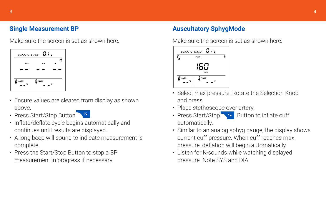# **Single Measurement BP**

Make sure the screen is set as shown here.



- Ensure values are cleared from display as shown above.
- Press Start/Stop Button ...
- Inflate/deflate cycle begins automatically and continues until results are displayed.
- A long beep will sound to indicate measurement is complete.
- Press the Start/Stop Button to stop a BP measurement in progress if necessary.

# **Auscultatory SphygMode**

Make sure the screen is set as shown here.



- Select max pressure. Rotate the Selection Knob and press.
- Place stethoscope over artery.
- Press Start/Stop > Button to inflate cuff automatically.
- Similar to an analog sphyg gauge, the display shows current cuff pressure. When cuff reaches max pressure, deflation will begin automatically.
- Listen for K-sounds while watching displayed pressure. Note SYS and DIA.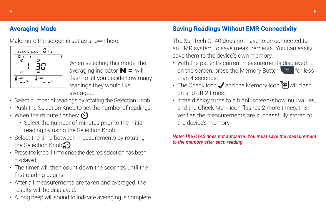# **Averaging Mode**

Make sure the screen is set as shown here.



When selecting this mode, the averaging indicator  $\mathbf{N}$  = will flash to let you decide how many readings they would like averaged.

- Select number of readings by rotating the Selection Knob.
- Push the Selection Knob to set the number of readings.
- When the minute flashes:  $\check{\mathcal{O}}$ 
	- Select the number of minutes prior to the initial reading by using the Selection Knob.
- Select the time between measurements by rotating the Selection Knob $\mathcal{D}$
- Press the knob 1 time once the desired selection has been displayed.
- The timer will then count down the seconds until the first reading begins.
- After all measurements are taken and averaged, the results will be displayed.
- A long beep will sound to indicate averaging is complete.

# **Saving Readings Without EMR Connectivity**

The SunTech CT40 does not have to be connected to an EMR system to save measurements. You can easily save them to the device's own memory.

- With the patient's current measurements displayed on the screen, press the Memory Button  $\Box$  for less than 4 seconds.
- The Check icon  $\sqrt{ }$  and the Memory icon  $\sqrt{ }$  will flash on and off 2 times.
- If the display turns to a blank screen/show, null values, and the Check Mark icon flashes 2 more times, this verifies the measurements are successfully stored to the device's memory.

#### *Note: The CT40 does not autosave. You must save the measurement to the memory after each reading.*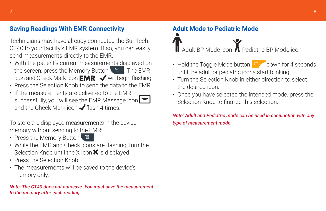# **Saving Readings With EMR Connectivity**

Technicians may have already connected the SunTech CT40 to your facility's EMR system. If so, you can easily send measurements directly to the EMR.

- With the patient's current measurements displayed on the screen, press the Memory Button  $\Box$  The EMR icon and Check Mark Icon  $EMR \blacktriangleleft$  will begin flashing.
- Press the Selection Knob to send the data to the EMR.
- If the measurements are delivered to the EMR successfully, you will see the EMR Message icon and the Check Mark icon  $\blacktriangledown$  flash 4 times.

To store the displayed measurements in the device memory without sending to the EMR:

- Press the Memory Button
- While the EMR and Check icons are flashing, turn the Selection Knob until the X Icon $\mathsf{X}$  is displayed.
- Press the Selection Knob.
- The measurements will be saved to the device's memory only.

*Note: The CT40 does not autosave. You must save the measurement to the memory after each reading.*

# **Adult Mode to Pediatric Mode**

Adult BP Mode icon **Pediatric BP Mode icon** 

- Hold the Toggle Mode button  $\Box$  down for 4 seconds until the adult or pediatric icons start blinking.
- Turn the Selection Knob in either direction to select the desired icon.
- Once you have selected the intended mode, press the Selection Knob to finalize this selection.

*Note: Adult and Pediatric mode can be used in conjunction with any type of measurement mode.*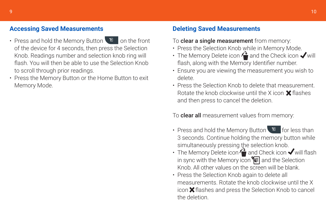# **Accessing Saved Measurements**

- Press and hold the Memory Button  $\Box$  on the front of the device for 4 seconds, then press the Selection Knob. Readings number and selection knob ring will flash. You will then be able to use the Selection Knob to scroll through prior readings.
- Press the Memory Button or the Home Button to exit Memory Mode.

# **Deleting Saved Measurements**

#### To clear a single measurement from memory:

- Press the Selection Knob while in Memory Mode.
- The Memory Delete icon  $\bigwedge^2$  and the Check icon  $\bigvee$  will flash, along with the Memory Identifier number.
- Ensure you are viewing the measurement you wish to delete.
- Press the Selection Knob to delete that measurement. Rotate the knob clockwise until the X icon  $\mathsf{\mathbf{\times}}$  flashes and then press to cancel the deletion.

To **clear all** measurement values from memory:

- Press and hold the Memory Button  $\Box$  for less than 3 seconds. Continue holding the memory button while simultaneously pressing the selection knob.
- The Memory Delete icon  $\bigwedge^{\bullet}$  and Check icon  $\checkmark$  will flash in sync with the Memory icon  $\leftarrow$  and the Selection Knob. All other values on the screen will be blank.
- Press the Selection Knob again to delete all measurements. Rotate the knob clockwise until the X icon  $\mathsf{\mathbf{\times}}$  flashes and press the Selection Knob to cancel the deletion.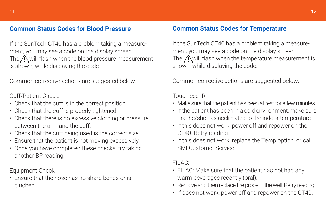# **Common Status Codes for Blood Pressure**

If the SunTech CT40 has a problem taking a measurement, you may see a code on the display screen. The  $\bigwedge$  will flash when the blood pressure measurement is shown, while displaying the code.

Common corrective actions are suggested below:

#### Cuff/Patient Check:

- Check that the cuff is in the correct position.
- Check that the cuff is properly tightened.
- Check that there is no excessive clothing or pressure between the arm and the cuff.
- Check that the cuff being used is the correct size.
- Ensure that the patient is not moving excessively.
- Once you have completed these checks, try taking another BP reading.

Equipment Check:

• Ensure that the hose has no sharp bends or is pinched.

### **Common Status Codes for Temperature**

If the SunTech CT40 has a problem taking a measurement, you may see a code on the display screen. The  $\bigwedge$  will flash when the temperature measurement is shown, while displaying the code.

Common corrective actions are suggested below:

Touchless IR:

- Make sure that the patient has been at rest for a few minutes.
- If the patient has been in a cold environment, make sure that he/she has acclimated to the indoor temperature.
- If this does not work, power off and repower on the CT40. Retry reading.
- If this does not work, replace the Temp option, or call SMI Customer Service.

#### FILAC:

- FILAC: Make sure that the patient has not had any warm beverages recently (oral).
- Remove and then replace the probe in the well. Retry reading.
- If does not work, power off and repower on the CT40.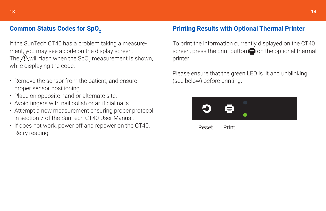# **Common Status Codes for SpO<sub>2</sub>**

If the SunTech CT40 has a problem taking a measurement, you may see a code on the display screen. The  $\Delta$  will flash when the SpO<sub>2</sub> measurement is shown, while displaying the code.

- Remove the sensor from the patient, and ensure proper sensor positioning.
- Place on opposite hand or alternate site.
- Avoid fingers with nail polish or artificial nails.
- Attempt a new measurement ensuring proper protocol in section 7 of the SunTech CT40 User Manual.
- If does not work, power off and repower on the CT40. Retry reading

# **Printing Results with Optional Thermal Printer**

To print the information currently displayed on the CT40 screen, press the print button  $\blacksquare$  on the optional thermal printer

Please ensure that the green LED is lit and unblinking (see below) before printing.



Reset Print